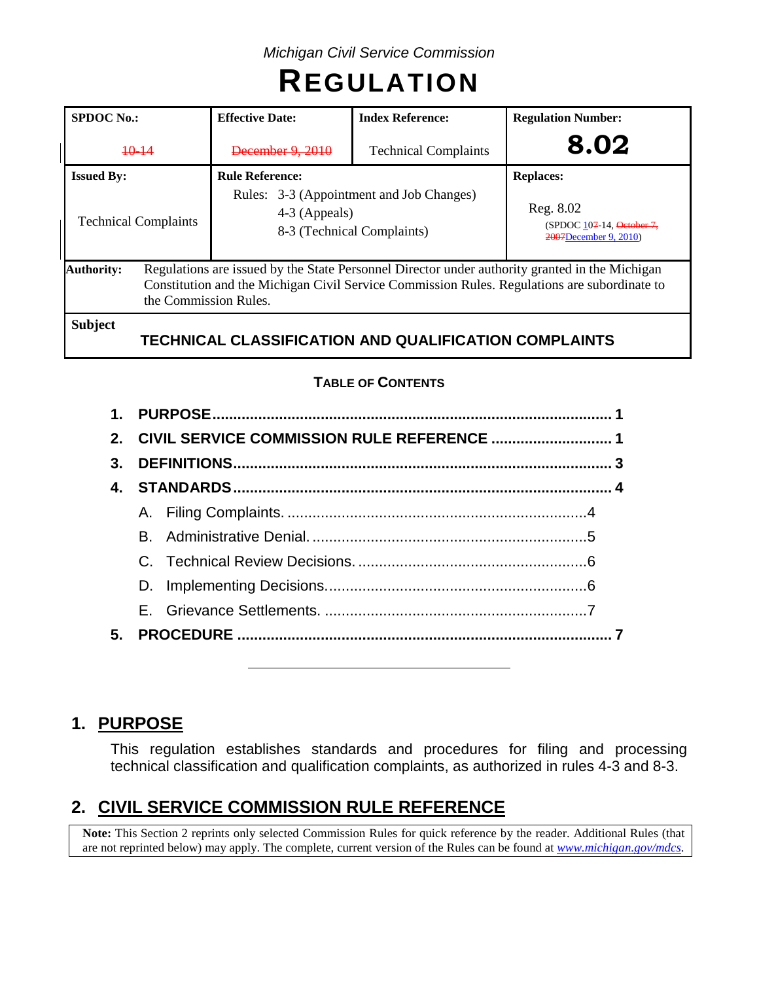# **REGULATION**

| <b>SPDOC No.:</b>           |                                                                                                                                                                                                                         | <b>Effective Date:</b>                                                                  | <b>Index Reference:</b>                                      | <b>Regulation Number:</b>                                       |  |  |  |  |
|-----------------------------|-------------------------------------------------------------------------------------------------------------------------------------------------------------------------------------------------------------------------|-----------------------------------------------------------------------------------------|--------------------------------------------------------------|-----------------------------------------------------------------|--|--|--|--|
| $+0-14$                     |                                                                                                                                                                                                                         | December 9, 2010<br><b>Technical Complaints</b>                                         |                                                              | 8.02                                                            |  |  |  |  |
| <b>Issued By:</b>           |                                                                                                                                                                                                                         | <b>Rule Reference:</b>                                                                  |                                                              | <b>Replaces:</b>                                                |  |  |  |  |
| <b>Technical Complaints</b> |                                                                                                                                                                                                                         | Rules: 3-3 (Appointment and Job Changes)<br>4-3 (Appeals)<br>8-3 (Technical Complaints) |                                                              | Reg. 8.02<br>(SPDOC 107-14, October 7,<br>2007December 9, 2010) |  |  |  |  |
| <b>Authority:</b>           | Regulations are issued by the State Personnel Director under authority granted in the Michigan<br>Constitution and the Michigan Civil Service Commission Rules. Regulations are subordinate to<br>the Commission Rules. |                                                                                         |                                                              |                                                                 |  |  |  |  |
| <b>Subject</b>              |                                                                                                                                                                                                                         |                                                                                         | <b>TECHNICAL CLASSIFICATION AND QUALIFICATION COMPLAINTS</b> |                                                                 |  |  |  |  |

# **TABLE OF CONTENTS**

| 3. |  |  |  |  |  |  |
|----|--|--|--|--|--|--|
| 4. |  |  |  |  |  |  |
|    |  |  |  |  |  |  |
|    |  |  |  |  |  |  |
|    |  |  |  |  |  |  |
|    |  |  |  |  |  |  |
|    |  |  |  |  |  |  |
|    |  |  |  |  |  |  |
|    |  |  |  |  |  |  |

# **1. PURPOSE**

This regulation establishes standards and procedures for filing and processing technical classification and qualification complaints, as authorized in rules 4-3 and 8-3.

# **2. CIVIL SERVICE COMMISSION RULE REFERENCE**

**Note:** This Section 2 reprints only selected Commission Rules for quick reference by the reader. Additional Rules (that are not reprinted below) may apply. The complete, current version of the Rules can be found at *[www.michigan.gov/mdcs](http://www.michigan.gov/mdcs)*.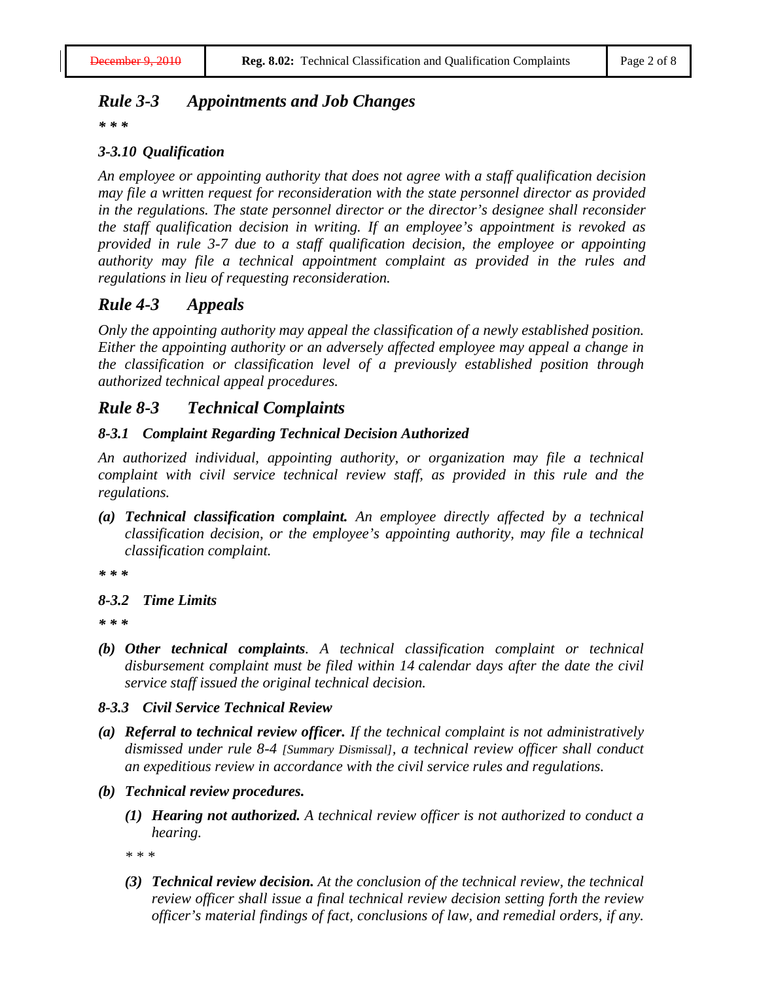#### *Rule 3-3 Appointments and Job Changes*

*\* \* \**

#### *3-3.10 Qualification*

*An employee or appointing authority that does not agree with a staff qualification decision may file a written request for reconsideration with the state personnel director as provided in the regulations. The state personnel director or the director's designee shall reconsider the staff qualification decision in writing. If an employee's appointment is revoked as provided in rule 3-7 due to a staff qualification decision, the employee or appointing authority may file a technical appointment complaint as provided in the rules and regulations in lieu of requesting reconsideration.*

## *Rule 4-3 Appeals*

*Only the appointing authority may appeal the classification of a newly established position. Either the appointing authority or an adversely affected employee may appeal a change in the classification or classification level of a previously established position through authorized technical appeal procedures.*

#### *Rule 8-3 Technical Complaints*

#### *8-3.1 Complaint Regarding Technical Decision Authorized*

*An authorized individual, appointing authority, or organization may file a technical complaint with civil service technical review staff, as provided in this rule and the regulations.*

*(a) Technical classification complaint. An employee directly affected by a technical classification decision, or the employee's appointing authority, may file a technical classification complaint.*

*\* \* \**

#### *8-3.2 Time Limits*

*\* \* \**

*(b) Other technical complaints. A technical classification complaint or technical disbursement complaint must be filed within 14 calendar days after the date the civil service staff issued the original technical decision.*

#### *8-3.3 Civil Service Technical Review*

- *(a) Referral to technical review officer. If the technical complaint is not administratively dismissed under rule 8-4 [Summary Dismissal], a technical review officer shall conduct an expeditious review in accordance with the civil service rules and regulations.*
- *(b) Technical review procedures.*
	- *(1) Hearing not authorized. A technical review officer is not authorized to conduct a hearing.*

*\* \* \**

*(3) Technical review decision. At the conclusion of the technical review, the technical review officer shall issue a final technical review decision setting forth the review officer's material findings of fact, conclusions of law, and remedial orders, if any.*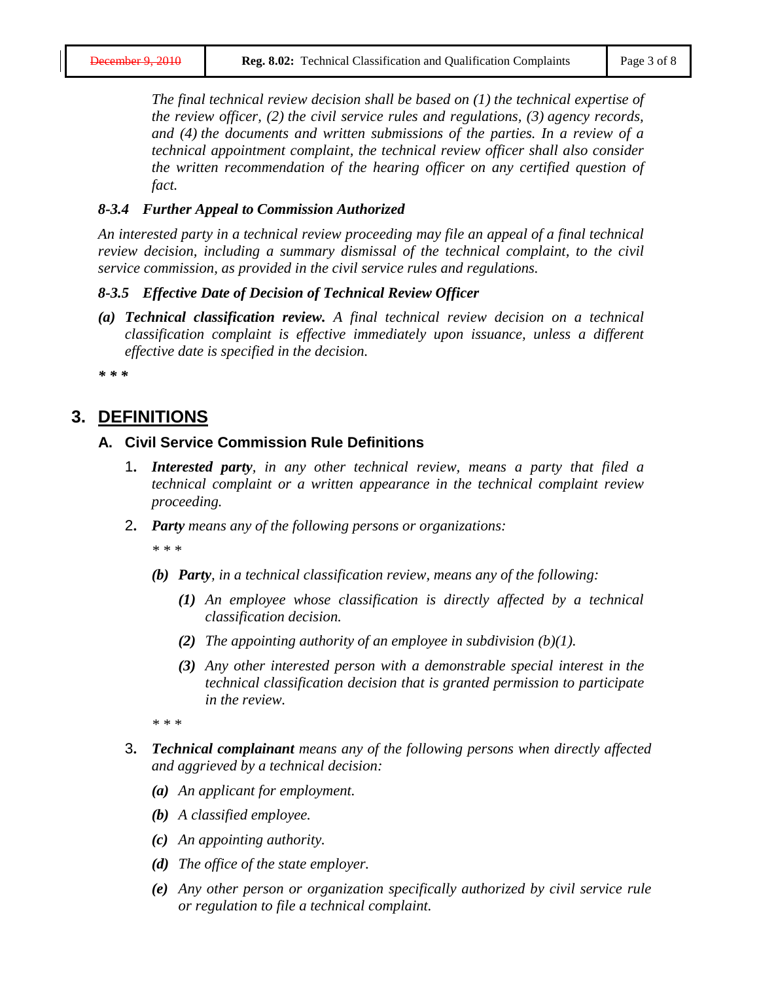*The final technical review decision shall be based on (1) the technical expertise of the review officer, (2) the civil service rules and regulations, (3) agency records, and (4) the documents and written submissions of the parties. In a review of a technical appointment complaint, the technical review officer shall also consider the written recommendation of the hearing officer on any certified question of fact.*

#### *8-3.4 Further Appeal to Commission Authorized*

*An interested party in a technical review proceeding may file an appeal of a final technical review decision, including a summary dismissal of the technical complaint, to the civil service commission, as provided in the civil service rules and regulations.*

#### *8-3.5 Effective Date of Decision of Technical Review Officer*

*(a) Technical classification review. A final technical review decision on a technical classification complaint is effective immediately upon issuance, unless a different effective date is specified in the decision.*

*\* \* \**

# **3. DEFINITIONS**

#### **A. Civil Service Commission Rule Definitions**

- 1**.** *Interested party, in any other technical review, means a party that filed a technical complaint or a written appearance in the technical complaint review proceeding.*
- 2**.** *Party means any of the following persons or organizations:*

*\* \* \**

- *(b) Party, in a technical classification review, means any of the following:*
	- *(1) An employee whose classification is directly affected by a technical classification decision.*
	- *(2) The appointing authority of an employee in subdivision (b)(1).*
	- *(3) Any other interested person with a demonstrable special interest in the technical classification decision that is granted permission to participate in the review.*

*\* \* \**

- 3**.** *Technical complainant means any of the following persons when directly affected and aggrieved by a technical decision:*
	- *(a) An applicant for employment.*
	- *(b) A classified employee.*
	- *(c) An appointing authority.*
	- *(d) The office of the state employer.*
	- *(e) Any other person or organization specifically authorized by civil service rule or regulation to file a technical complaint.*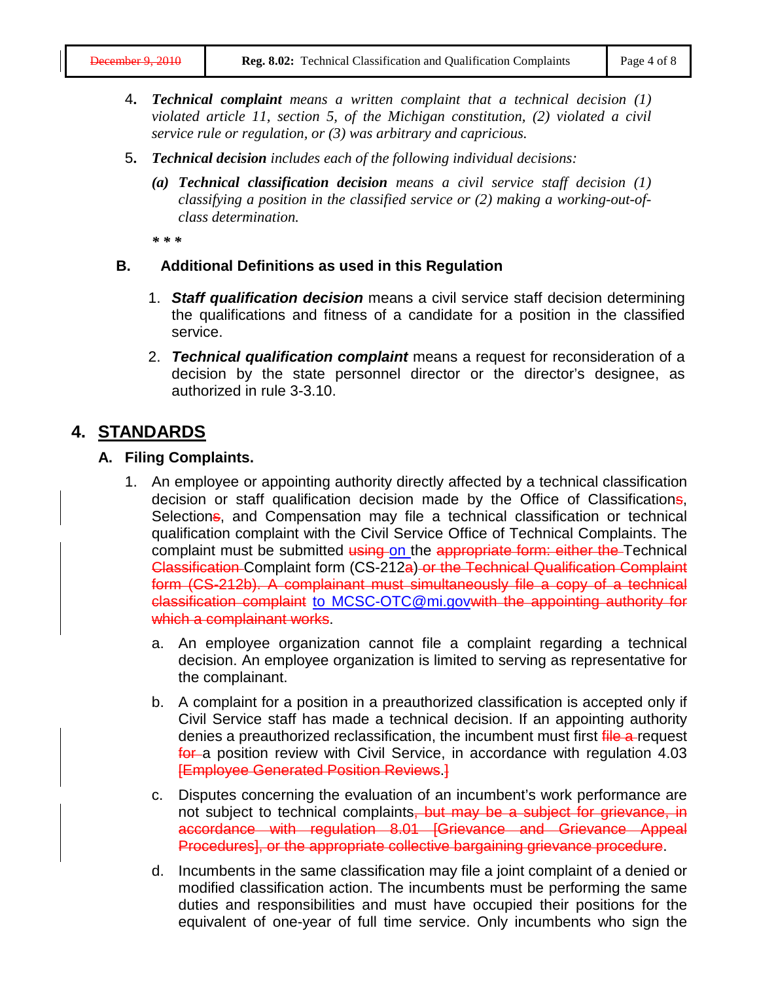- 4**.** *Technical complaint means a written complaint that a technical decision (1) violated article 11, section 5, of the Michigan constitution, (2) violated a civil service rule or regulation, or (3) was arbitrary and capricious.*
- 5**.** *Technical decision includes each of the following individual decisions:*
	- *(a) Technical classification decision means a civil service staff decision (1) classifying a position in the classified service or (2) making a working-out-ofclass determination.*

*\* \* \**

#### **B. Additional Definitions as used in this Regulation**

- 1. *Staff qualification decision* means a civil service staff decision determining the qualifications and fitness of a candidate for a position in the classified service.
- 2. *Technical qualification complaint* means a request for reconsideration of a decision by the state personnel director or the director's designee, as authorized in rule 3-3.10.

# **4. STANDARDS**

#### **A. Filing Complaints.**

- 1. An employee or appointing authority directly affected by a technical classification decision or staff qualification decision made by the Office of Classifications, Selections, and Compensation may file a technical classification or technical qualification complaint with the Civil Service Office of Technical Complaints. The complaint must be submitted using on the appropriate form: either the Technical Classification Complaint form (CS-212a) or the Technical Qualification Complaint form (CS-212b). A complainant must simultaneously file a copy of a technical classification complaint to [MCSC-OTC@mi.govw](mailto:MCSC-OTC@mi.gov)ith the appointing authority for which a complainant works.
	- a. An employee organization cannot file a complaint regarding a technical decision. An employee organization is limited to serving as representative for the complainant.
	- b. A complaint for a position in a preauthorized classification is accepted only if Civil Service staff has made a technical decision. If an appointing authority denies a preauthorized reclassification, the incumbent must first file a-request for a position review with Civil Service, in accordance with regulation 4.03 [Employee Generated Position Reviews.]
	- c. Disputes concerning the evaluation of an incumbent's work performance are not subject to technical complaints, but may be a subject for grievance, in accordance with regulation 8.01 [Grievance and Grievance Appeal Procedures], or the appropriate collective bargaining grievance procedure.
	- d. Incumbents in the same classification may file a joint complaint of a denied or modified classification action. The incumbents must be performing the same duties and responsibilities and must have occupied their positions for the equivalent of one-year of full time service. Only incumbents who sign the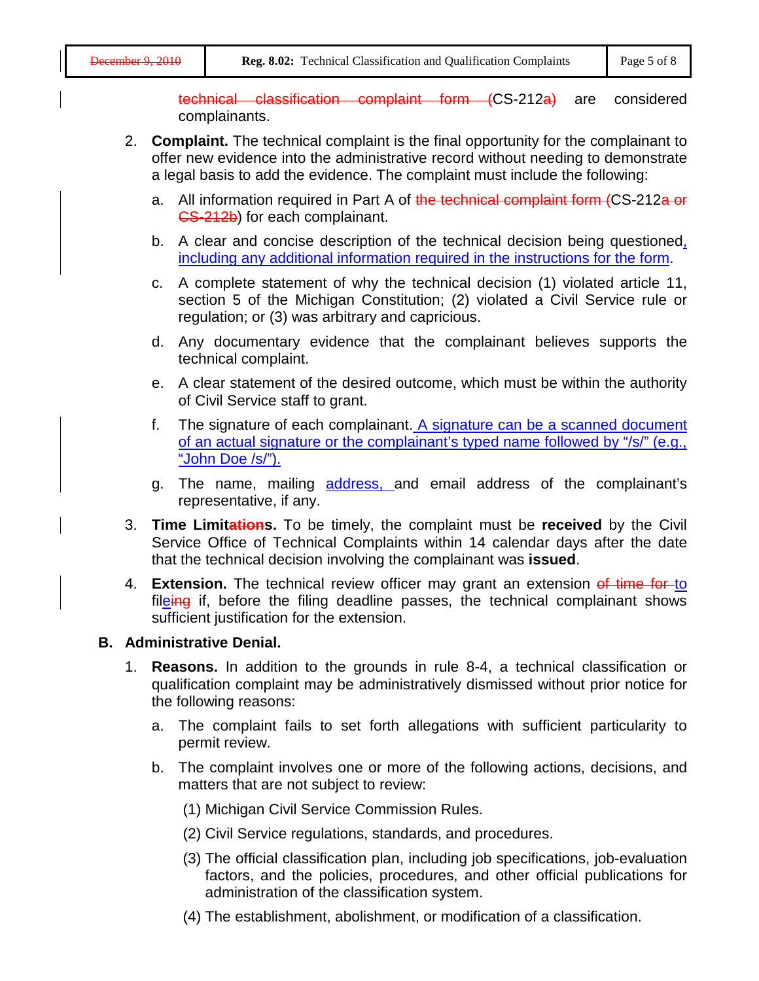technical classification complaint form (CS-212a) are considered complainants.

- 2. **Complaint.** The technical complaint is the final opportunity for the complainant to offer new evidence into the administrative record without needing to demonstrate a legal basis to add the evidence. The complaint must include the following:
	- a. All information required in Part A of the technical complaint form (CS-212a or CS-212b) for each complainant.
	- b. A clear and concise description of the technical decision being questioned, including any additional information required in the instructions for the form.
	- c. A complete statement of why the technical decision (1) violated article 11, section 5 of the Michigan Constitution; (2) violated a Civil Service rule or regulation; or (3) was arbitrary and capricious.
	- d. Any documentary evidence that the complainant believes supports the technical complaint.
	- e. A clear statement of the desired outcome, which must be within the authority of Civil Service staff to grant.
	- f. The signature of each complainant. A signature can be a scanned document of an actual signature or the complainant's typed name followed by "/s/" (e.g., "John Doe /s/").
	- g. The name, mailing address, and email address of the complainant's representative, if any.
- 3. **Time Limitations.** To be timely, the complaint must be **received** by the Civil Service Office of Technical Complaints within 14 calendar days after the date that the technical decision involving the complainant was **issued**.
- 4. **Extension.** The technical review officer may grant an extension of time for to fileing if, before the filing deadline passes, the technical complainant shows sufficient justification for the extension.

## **B. Administrative Denial.**

- 1. **Reasons.** In addition to the grounds in rule 8-4, a technical classification or qualification complaint may be administratively dismissed without prior notice for the following reasons:
	- a. The complaint fails to set forth allegations with sufficient particularity to permit review.
	- b. The complaint involves one or more of the following actions, decisions, and matters that are not subject to review:
		- (1) Michigan Civil Service Commission Rules.
		- (2) Civil Service regulations, standards, and procedures.
		- (3) The official classification plan, including job specifications, job-evaluation factors, and the policies, procedures, and other official publications for administration of the classification system.
		- (4) The establishment, abolishment, or modification of a classification.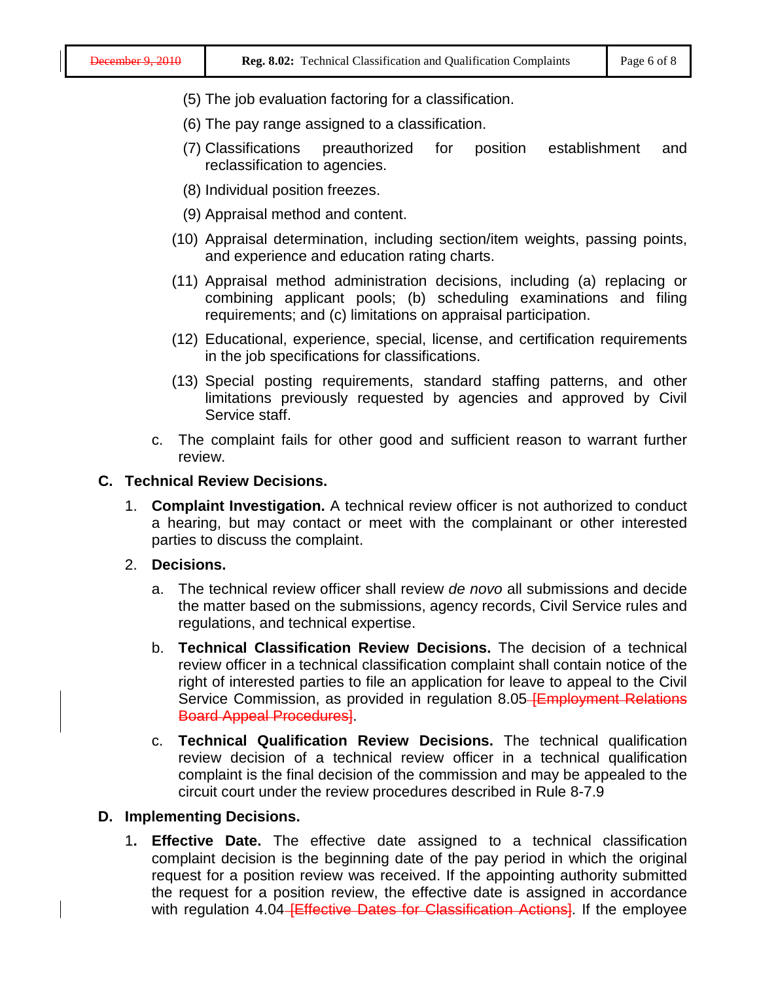- (5) The job evaluation factoring for a classification.
- (6) The pay range assigned to a classification.
- (7) Classifications preauthorized for position establishment and reclassification to agencies.
- (8) Individual position freezes.
- (9) Appraisal method and content.
- (10) Appraisal determination, including section/item weights, passing points, and experience and education rating charts.
- (11) Appraisal method administration decisions, including (a) replacing or combining applicant pools; (b) scheduling examinations and filing requirements; and (c) limitations on appraisal participation.
- (12) Educational, experience, special, license, and certification requirements in the job specifications for classifications.
- (13) Special posting requirements, standard staffing patterns, and other limitations previously requested by agencies and approved by Civil Service staff.
- c. The complaint fails for other good and sufficient reason to warrant further review.

#### **C. Technical Review Decisions.**

- 1. **Complaint Investigation.** A technical review officer is not authorized to conduct a hearing, but may contact or meet with the complainant or other interested parties to discuss the complaint.
- 2. **Decisions.**
	- a. The technical review officer shall review *de novo* all submissions and decide the matter based on the submissions, agency records, Civil Service rules and regulations, and technical expertise.
	- b. **Technical Classification Review Decisions.** The decision of a technical review officer in a technical classification complaint shall contain notice of the right of interested parties to file an application for leave to appeal to the Civil Service Commission, as provided in regulation 8.05-Employment Relations Board Appeal Procedures].
	- c. **Technical Qualification Review Decisions.** The technical qualification review decision of a technical review officer in a technical qualification complaint is the final decision of the commission and may be appealed to the circuit court under the review procedures described in Rule 8-7.9

#### **D. Implementing Decisions.**

1**. Effective Date.** The effective date assigned to a technical classification complaint decision is the beginning date of the pay period in which the original request for a position review was received. If the appointing authority submitted the request for a position review, the effective date is assigned in accordance with regulation 4.04 **Effective Dates for Classification Actions**. If the employee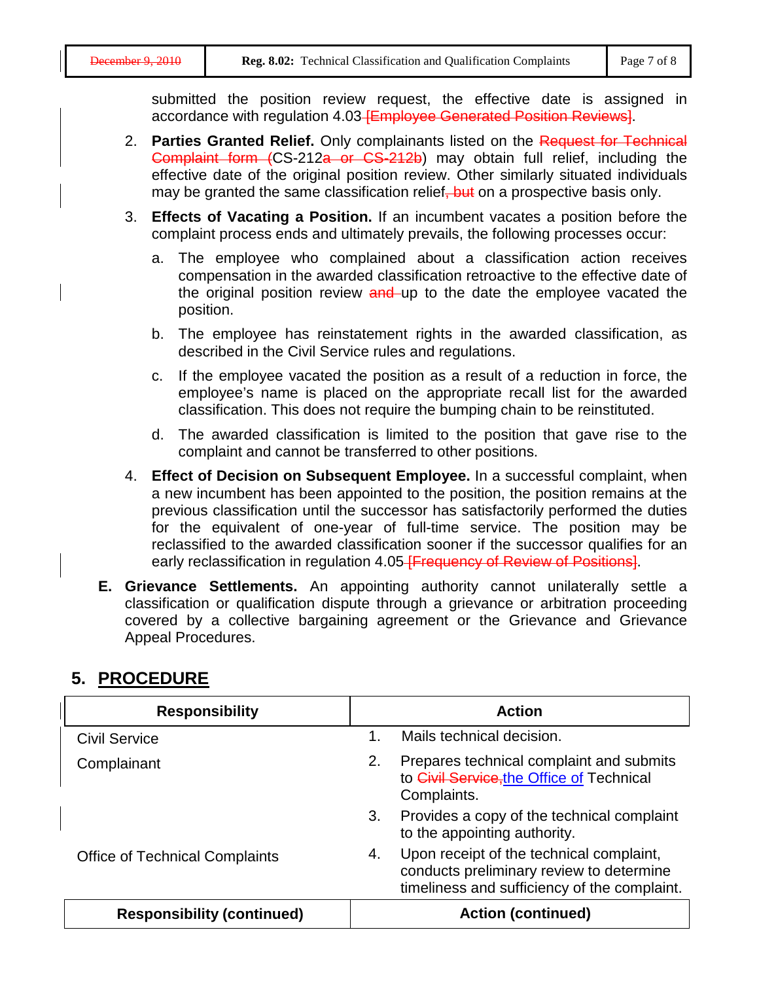submitted the position review request, the effective date is assigned in accordance with regulation 4.03 **[Employee Generated Position Reviews**].

- 2. **Parties Granted Relief.** Only complainants listed on the Request for Technical Complaint form (CS-212a or CS-212b) may obtain full relief, including the effective date of the original position review. Other similarly situated individuals may be granted the same classification relief, but on a prospective basis only.
- 3. **Effects of Vacating a Position.** If an incumbent vacates a position before the complaint process ends and ultimately prevails, the following processes occur:
	- a. The employee who complained about a classification action receives compensation in the awarded classification retroactive to the effective date of the original position review and up to the date the employee vacated the position.
	- b. The employee has reinstatement rights in the awarded classification, as described in the Civil Service rules and regulations.
	- c. If the employee vacated the position as a result of a reduction in force, the employee's name is placed on the appropriate recall list for the awarded classification. This does not require the bumping chain to be reinstituted.
	- d. The awarded classification is limited to the position that gave rise to the complaint and cannot be transferred to other positions.
- 4. **Effect of Decision on Subsequent Employee.** In a successful complaint, when a new incumbent has been appointed to the position, the position remains at the previous classification until the successor has satisfactorily performed the duties for the equivalent of one-year of full-time service. The position may be reclassified to the awarded classification sooner if the successor qualifies for an early reclassification in regulation 4.05 FFrequency of Review of Positions.
- **E. Grievance Settlements.** An appointing authority cannot unilaterally settle a classification or qualification dispute through a grievance or arbitration proceeding covered by a collective bargaining agreement or the Grievance and Grievance Appeal Procedures.

| <b>Responsibility</b>                 | <b>Action</b>                                                                                                                              |  |  |
|---------------------------------------|--------------------------------------------------------------------------------------------------------------------------------------------|--|--|
| <b>Civil Service</b>                  | Mails technical decision.                                                                                                                  |  |  |
| Complainant                           | Prepares technical complaint and submits<br>2.<br>to Civil Service, the Office of Technical<br>Complaints.                                 |  |  |
|                                       | Provides a copy of the technical complaint<br>3.<br>to the appointing authority.                                                           |  |  |
| <b>Office of Technical Complaints</b> | Upon receipt of the technical complaint,<br>4.<br>conducts preliminary review to determine<br>timeliness and sufficiency of the complaint. |  |  |
| <b>Responsibility (continued)</b>     | <b>Action (continued)</b>                                                                                                                  |  |  |

# **5. PROCEDURE**